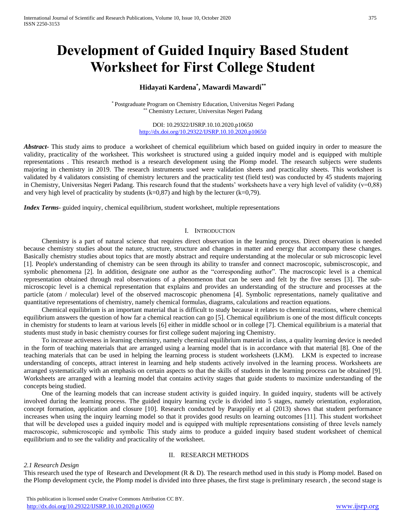# **Development of Guided Inquiry Based Student Worksheet for First College Student**

# **Hidayati Kardena\* , Mawardi Mawardi\*\***

\* Postgraduate Program on Chemistry Education, Universitas Negeri Padang \*\* Chemistry Lecturer, Universitas Negeri Padang

> DOI: 10.29322/IJSRP.10.10.2020.p10650 <http://dx.doi.org/10.29322/IJSRP.10.10.2020.p10650>

*Abstract***-** This study aims to produce a worksheet of chemical equilibrium which based on guided inquiry in order to measure the validity, practicality of the worksheet. This worksheet is structured using a guided inquiry model and is equipped with multiple representations . This research method is a research development using the Plomp model. The research subjects were students majoring in chemistry in 2019. The research instruments used were validation sheets and practicality sheets. This worksheet is validated by 4 validators consisting of chemistry lecturers and the practicality test (field test) was conducted by 45 students majoring in Chemistry, Universitas Negeri Padang. This research found that the students' worksheets have a very high level of validity (v=0,88) and very high level of practicality by students  $(k=0.87)$  and high by the lecturer  $(k=0.79)$ .

*Index Terms*- guided inquiry, chemical equilibrium, student worksheet, multiple representations

## I. INTRODUCTION

Chemistry is a part of natural science that requires direct observation in the learning process. Direct observation is needed because chemistry studies about the nature, structure, structure and changes in matter and energy that accompany these changes. Basically chemistry studies about topics that are mostly abstract and require understanding at the molecular or sub microscopic level [1]. People's understanding of chemistry can be seen through its ability to transfer and connect macroscopic, submiscroscopic, and symbolic phenomena [2]. In addition, designate one author as the "corresponding author". The macroscopic level is a chemical representation obtained through real observations of a phenomenon that can be seen and felt by the five senses [3]. The submicroscopic level is a chemical representation that explains and provides an understanding of the structure and processes at the particle (atom / molecular) level of the observed macroscopic phenomena [4]. Symbolic representations, namely qualitative and quantitative representations of chemistry, namely chemical formulas, diagrams, calculations and reaction equations.

Chemical equilibrium is an important material that is difficult to study because it relates to chemical reactions, where chemical equilibrium answers the question of how far a chemical reaction can go [5]. Chemical equilibrium is one of the most difficult concepts in chemistry for students to learn at various levels [6] either in middle school or in college [7]. Chemical equilibrium is a material that students must study in basic chemistry courses for first college sudent majoring ing Chemistry.

To increase activeness in learning chemistry, namely chemical equilibrium material in class, a quality learning device is needed in the form of teaching materials that are arranged using a learning model that is in accordance with that material [8]. One of the teaching materials that can be used in helping the learning process is student worksheets (LKM). LKM is expected to increase understanding of concepts, attract interest in learning and help students actively involved in the learning process. Worksheets are arranged systematically with an emphasis on certain aspects so that the skills of students in the learning process can be obtained [9]. Worksheets are arranged with a learning model that contains activity stages that guide students to maximize understanding of the concepts being studied.

One of the learning models that can increase student activity is guided inquiry. In guided inquiry, students will be actively involved during the learning process. The guided inquiry learning cycle is divided into 5 stages, namely orientation, exploration, concept formation, application and closure [10]. Research conducted by Parappiliy et al (2013) shows that student performance increases when using the inquiry learning model so that it provides good results on learning outcomes [11]. This student worksheet that will be developed uses a guided inquiry model and is equipped with multiple representations consisting of three levels namely macroscopic, submicroscopic and symbolic This study aims to produce a guided inquiry based student worksheet of chemical equilibrium and to see the validity and practicality of the worksheet.

## II. RESEARCH METHODS

## *2.1 Research Design*

This research used the type of Research and Development (R & D). The research method used in this study is Plomp model. Based on the Plomp development cycle, the Plomp model is divided into three phases, the first stage is preliminary research , the second stage is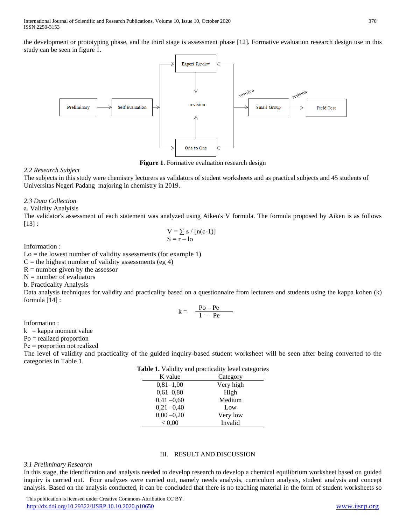the development or prototyping phase, and the third stage is assessment phase [12]*.* Formative evaluation research design use in this study can be seen in figure 1.



**Figure 1**. Formative evaluation research design

# *2.2 Research Subject*

The subjects in this study were chemistry lecturers as validators of student worksheets and as practical subjects and 45 students of Universitas Negeri Padang majoring in chemistry in 2019.

## *2.3 Data Collection*

a. Validity Analyisis

The validator's assessment of each statement was analyzed using Aiken's V formula. The formula proposed by Aiken is as follows  $[13]$  :

$$
V = \sum s / [n(c-1)]
$$
  

$$
S = r - lo
$$

Information :

 $Lo =$  the lowest number of validity assessments (for example 1)

 $C$  = the highest number of validity assessments (eg 4)

 $R =$  number given by the assessor

 $N =$  number of evaluators

b. Practicality Analysis

Data analysis techniques for validity and practicality based on a questionnaire from lecturers and students using the kappa kohen (k) formula [14] :

$$
k = \frac{Po - Pe}{1 - Pe}
$$

Information :

 $k = kappa$  moment value

Po = realized proportion

Pe = proportion not realized

The level of validity and practicality of the guided inquiry-based student worksheet will be seen after being converted to the categories in Table 1.

| <b>Table 1.</b> Validity and practicality level categories |           |  |  |  |
|------------------------------------------------------------|-----------|--|--|--|
| K value                                                    | Category  |  |  |  |
| $0,81-1,00$                                                | Very high |  |  |  |
| $0,61-0,80$                                                | High      |  |  |  |
| $0,41 - 0,60$                                              | Medium    |  |  |  |
| $0,21 - 0,40$                                              | Low       |  |  |  |
| $0,00 - 0,20$                                              | Very low  |  |  |  |
| < 0.00                                                     | Invalid   |  |  |  |

# III. RESULT AND DISCUSSION

## *3.1 Preliminary Research*

In this stage, the identification and analysis needed to develop research to develop a chemical equilibrium worksheet based on guided inquiry is carried out. Four analyzes were carried out, namely needs analysis, curriculum analysis, student analysis and concept analysis. Based on the analysis conducted, it can be concluded that there is no teaching material in the form of student worksheets so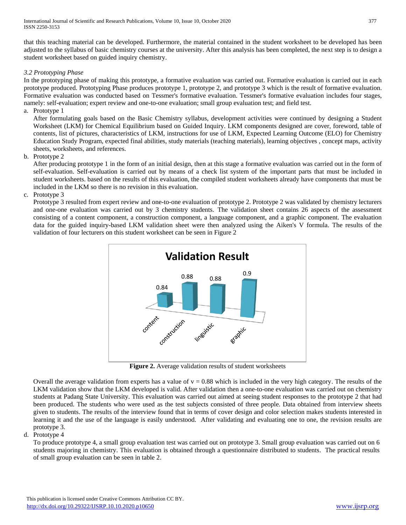that this teaching material can be developed. Furthermore, the material contained in the student worksheet to be developed has been adjusted to the syllabus of basic chemistry courses at the university. After this analysis has been completed, the next step is to design a student worksheet based on guided inquiry chemistry.

# *3.2 Prototyping Phase*

In the prototyping phase of making this prototype, a formative evaluation was carried out. Formative evaluation is carried out in each prototype produced. Prototyping Phase produces prototype 1, prototype 2, and prototype 3 which is the result of formative evaluation. Formative evaluation was conducted based on Tessmer's formative evaluation. Tessmer's formative evaluation includes four stages, namely: self-evaluation; expert review and one-to-one evaluation; small group evaluation test; and field test.

a. Prototype 1

After formulating goals based on the Basic Chemistry syllabus, development activities were continued by designing a Student Worksheet (LKM) for Chemical Equilibrium based on Guided Inquiry. LKM components designed are cover, foreword, table of contents, list of pictures, characteristics of LKM, instructions for use of LKM, Expected Learning Outcome (ELO) for Chemistry Education Study Program, expected final abilities, study materials (teaching materials), learning objectives , concept maps, activity sheets, worksheets, and references.

b. Prototype 2

After producing prototype 1 in the form of an initial design, then at this stage a formative evaluation was carried out in the form of self-evaluation. Self-evaluation is carried out by means of a check list system of the important parts that must be included in student worksheets. based on the results of this evaluation, the compiled student worksheets already have components that must be included in the LKM so there is no revision in this evaluation.

c. Prototype 3

Prototype 3 resulted from expert review and one-to-one evaluation of prototype 2. Prototype 2 was validated by chemistry lecturers and one-one evaluation was carried out by 3 chemistry students. The validation sheet contains 26 aspects of the assessment consisting of a content component, a construction component, a language component, and a graphic component. The evaluation data for the guided inquiry-based LKM validation sheet were then analyzed using the Aiken's V formula. The results of the validation of four lecturers on this student worksheet can be seen in Figure 2



**Figure 2.** Average validation results of student worksheets

Overall the average validation from experts has a value of  $v = 0.88$  which is included in the very high category. The results of the LKM validation show that the LKM developed is valid. After validation then a one-to-one evaluation was carried out on chemistry students at Padang State University. This evaluation was carried out aimed at seeing student responses to the prototype 2 that had been produced. The students who were used as the test subjects consisted of three people. Data obtained from interview sheets given to students. The results of the interview found that in terms of cover design and color selection makes students interested in learning it and the use of the language is easily understood. After validating and evaluating one to one, the revision results are prototype 3.

# d. Prototype 4

To produce prototype 4, a small group evaluation test was carried out on prototype 3. Small group evaluation was carried out on 6 students majoring in chemistry. This evaluation is obtained through a questionnaire distributed to students. The practical results of small group evaluation can be seen in table 2.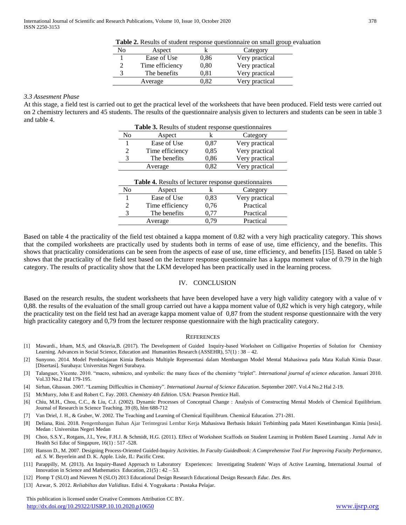| Table 2. Results of student response questionnaire on small group evaluation |  |  |
|------------------------------------------------------------------------------|--|--|
|------------------------------------------------------------------------------|--|--|

| No | Aspect          |            | Category       |
|----|-----------------|------------|----------------|
|    | Ease of Use     | 0.86       | Very practical |
|    | Time efficiency | 0.80       | Very practical |
|    | The benefits    | $\rm 0.81$ | Very practical |
|    | Average         | 1.82       | Very practical |

## *3.3 Assesment Phase*

At this stage, a field test is carried out to get the practical level of the worksheets that have been produced. Field tests were carried out on 2 chemistry lecturers and 45 students. The results of the questionnaire analysis given to lecturers and students can be seen in table 3 and table 4.

| Table 3. Results of student response questionnaires         |                 |      |                |  |  |
|-------------------------------------------------------------|-----------------|------|----------------|--|--|
| N <sub>0</sub>                                              | Aspect          | k    | Category       |  |  |
| 1                                                           | Ease of Use     | 0.87 | Very practical |  |  |
| 2                                                           | Time efficiency | 0,85 | Very practical |  |  |
| 3                                                           | The benefits    | 0,86 | Very practical |  |  |
|                                                             | Average         | 0,82 | Very practical |  |  |
| <b>Table 4.</b> Results of lecturer response question aires |                 |      |                |  |  |
| N <sub>0</sub>                                              | Aspect          | k    | Category       |  |  |
| 1                                                           | Ease of Use     | 0.83 | Very practical |  |  |
| 2                                                           | Time efficiency | 0,76 | Practical      |  |  |
| 3                                                           | The benefits    | 0,77 | Practical      |  |  |
|                                                             | Average         | 0.79 | Practical      |  |  |

Based on table 4 the practicality of the field test obtained a kappa moment of 0.82 with a very high practicality category. This shows that the compiled worksheets are practically used by students both in terms of ease of use, time efficiency, and the benefits. This shows that practicality considerations can be seen from the aspects of ease of use, time efficiency, and benefits [15]. Based on table 5 shows that the practicality of the field test based on the lecturer response questionnaire has a kappa moment value of 0.79 in the high category. The results of practicality show that the LKM developed has been practically used in the learning process.

## IV. CONCLUSION

Based on the research results, the student worksheets that have been developed have a very high validity category with a value of v 0,88. the results of the evaluation of the small group carried out have a kappa moment value of 0,82 which is very high category, while the practicality test on the field test had an average kappa moment value of 0,87 from the student response questionnaire with the very high practicality category and 0,79 from the lecturer response questionnaire with the high practicality category.

#### **REFERENCES**

- [1] Mawardi., Irham, M.S, and Oktavia,B. (2017). The Development of Guided Inquiry-based Worksheet on Colligative Properties of Solution for Chemistry Learning. Advances in Social Science, Education and Humanities Research (ASSEHR), 57(1) : 38 – 42.
- [2] Sunyono. 2014. Model Pembelajaran Kimia Berbasis Multiple Representasi dalam Membangun Model Mental Mahasiswa pada Mata Kuliah Kimia Dasar. [Disertasi]. Surabaya: Universitas Negeri Surabaya.
- [3] Talanguer, Vicente. 2010. "macro, submicro, and symbolic: the many faces of the chemistry "triplet". *International journal of science education*. Januari 2010. Vol.33 No.2 Hal 179-195.
- [4] Sirhan, Ghassan. 2007. "Learning Difficulties in Chemistry". *International Journal of Science Education*. September 2007. Vol.4 No.2 Hal 2-19.
- [5] McMurry, John E and Robert C. Fay. 2003. *Chemistry 4th Edition*. USA: Pearson Prentice Hall.
- [6] Chiu, M.H., Chou, C.C., & Liu, C.J. (2002). Dynamic Processes of Conceptual Change : Analysis of Constructing Mental Models of Chemical Equilibrium. Journal of Research in Science Teaching. 39 (8), hlm 688-712
- [7] Van Driel, J. H., & Graber, W. 2002. The Teaching and Learning of Chemical Equilibrum. Chemical Education. 271-281.
- [8] Deliana, Rini. 2018. Pengembangan Bahan Ajar Terintegrasi Lembar Kerja Mahasiswa Berbasis Inkuiri Terbimbing pada Materi Kesetimbangan Kimia [tesis]. Medan : Universitas Negeri Medan
- [9] Choo, S.S.Y., Rotgans, J.I., Yew, F.H.J. & Schmidt, H.G. (2011). Effect of Worksheet Scaffods on Student Learning in Problem Based Learning . Jurnal Adv in Health Sci Educ of Singapure, 16(1) : 517 -528.
- [10] Hanson D., M. 2007. Designing Process-Oriented Guided-Inquiry Activities. *In Faculty Guidedbook: A Comprehensive Tool For Improving Faculty Performance, ed. S. W.* Beyerlein and D. K. Apple. Lisle, IL: Pacific Crest.
- [11] Parappilly, M. (2013). An Inquiry-Based Approach to Laboratory Experiences: Investigating Students' Ways of Active Learning, International Journal of Innovation in Science and Mathematics Education, 21(5) : 42 – 53.
- [12] Plomp T (SLO) and Nieveen N (SLO) 2013 Educational Design Research Educational Design Research *Educ. Des. Res*.
- [13] Azwar, S. 2012. *Reliabiltas dan Validitas*. Edisi 4. Yogyakarta : Pustaka Pelajar.

 This publication is licensed under Creative Commons Attribution CC BY. <http://dx.doi.org/10.29322/IJSRP.10.10.2020.p10650> [www.ijsrp.org](http://ijsrp.org/)